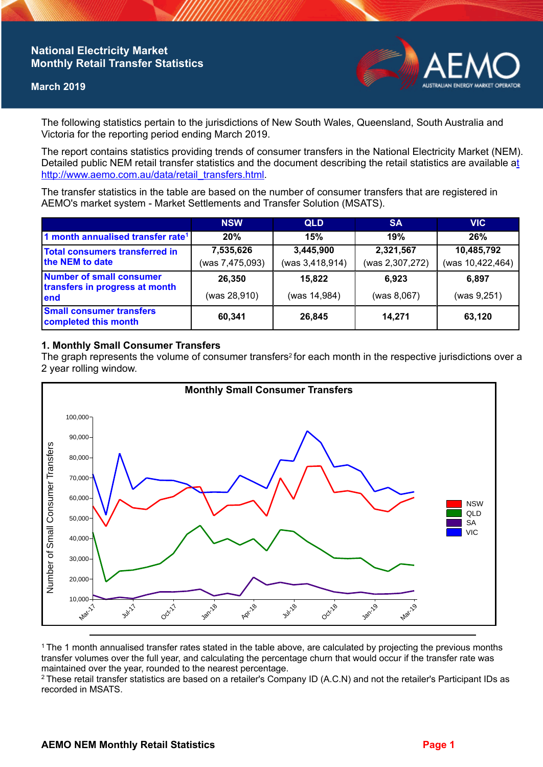## **National Electricity Market Monthly Retail Transfer Statistics**

#### **March 2019**



The following statistics pertain to the jurisdictions of New South Wales, Queensland, South Australia and Victoria for the reporting period ending March 2019.

The report contains statistics providing trends of consumer transfers in the National Electricity Market (NEM). Detailed public NEM retail transfer statistics and the document describing the retail statistics are available a[t](http://www.aemo.com.au/data/retail_transfers.html)  http://www.aemo.com.au/data/retail\_transfers.html

The transfer statistics in the table are based on the number of consumer transfers that are registered in AEMO's market system - Market Settlements and Transfer Solution (MSATS).

|                                                                           | <b>NSW</b>                   | <b>QLD</b>                   | <b>SA</b>                    | <b>VIC</b>                     |
|---------------------------------------------------------------------------|------------------------------|------------------------------|------------------------------|--------------------------------|
| 1 month annualised transfer rate <sup>1</sup>                             | 20%                          | 15%                          | 19%                          | 26%                            |
| Total consumers transferred in<br>the NEM to date                         | 7,535,626<br>(was 7,475,093) | 3,445,900<br>(was 3,418,914) | 2,321,567<br>(was 2,307,272) | 10,485,792<br>(was 10,422,464) |
| <b>Number of small consumer</b><br>transfers in progress at month<br>lend | 26,350<br>(was 28,910)       | 15,822<br>(was 14,984)       | 6.923<br>(was 8,067)         | 6,897<br>(was 9, 251)          |
| <b>Small consumer transfers</b><br>completed this month                   | 60,341                       | 26,845                       | 14.271                       | 63,120                         |

## **1. Monthly Small Consumer Transfers**

The graph represents the volume of consumer transfers<sup>2</sup> for each month in the respective jurisdictions over a 2 year rolling window.



<sup>1</sup>The 1 month annualised transfer rates stated in the table above, are calculated by projecting the previous months transfer volumes over the full year, and calculating the percentage churn that would occur if the transfer rate was maintained over the year, rounded to the nearest percentage.

<sup>2</sup> These retail transfer statistics are based on a retailer's Company ID (A.C.N) and not the retailer's Participant IDs as recorded in MSATS.